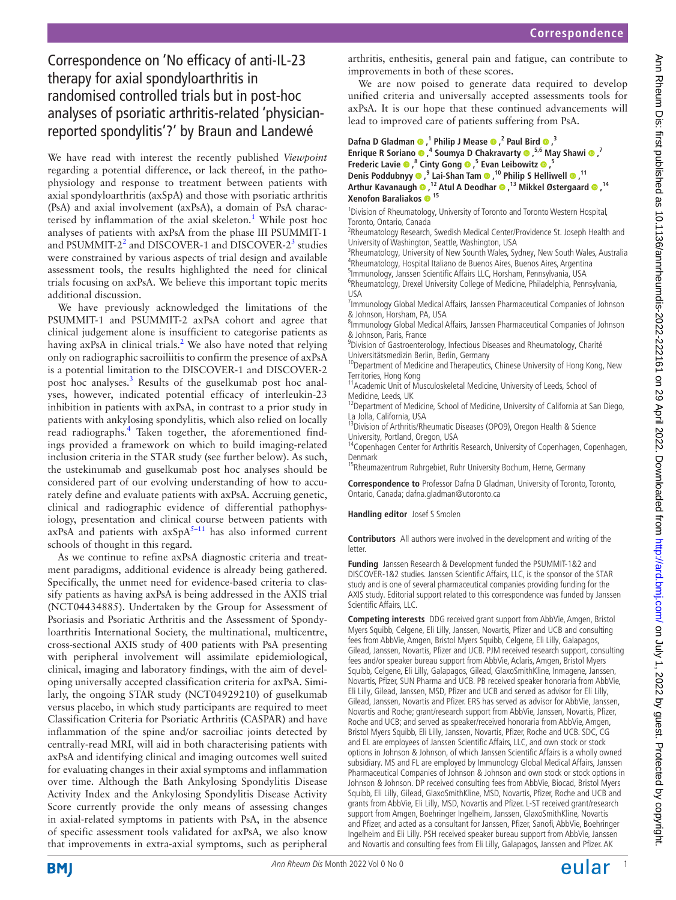# Correspondence on 'No efficacy of anti-IL-23 therapy for axial spondyloarthritis in randomised controlled trials but in post-hoc analyses of psoriatic arthritis-related 'physicianreported spondylitis'?' by Braun and Landewé

We have read with interest the recently published *Viewpoint* regarding a potential difference, or lack thereof, in the pathophysiology and response to treatment between patients with axial spondyloarthritis (axSpA) and those with psoriatic arthritis (PsA) and axial involvement (axPsA), a domain of PsA charac-terised by inflammation of the axial skeleton.<sup>[1](#page-1-0)</sup> While post hoc analyses of patients with axPsA from the phase III PSUMMIT-1 and PSUMMIT-2<sup>2</sup> and DISCOVER-1 and DISCOVER-2<sup>[3](#page-1-2)</sup> studies were constrained by various aspects of trial design and available assessment tools, the results highlighted the need for clinical trials focusing on axPsA. We believe this important topic merits additional discussion.

We have previously acknowledged the limitations of the PSUMMIT-1 and PSUMMIT-2 axPsA cohort and agree that clinical judgement alone is insufficient to categorise patients as having axPsA in clinical trials.<sup>[2](#page-1-1)</sup> We also have noted that relying only on radiographic sacroiliitis to confirm the presence of axPsA is a potential limitation to the DISCOVER-1 and DISCOVER-2 post hoc analyses.<sup>3</sup> Results of the guselkumab post hoc analyses, however, indicated potential efficacy of interleukin-23 inhibition in patients with axPsA, in contrast to a prior study in patients with ankylosing spondylitis, which also relied on locally read radiographs.<sup>[4](#page-1-3)</sup> Taken together, the aforementioned findings provided a framework on which to build imaging-related inclusion criteria in the STAR study (see further below). As such, the ustekinumab and guselkumab post hoc analyses should be considered part of our evolving understanding of how to accurately define and evaluate patients with axPsA. Accruing genetic, clinical and radiographic evidence of differential pathophysiology, presentation and clinical course between patients with  $axPSA$  and patients with  $axSpA<sup>5-11</sup>$  has also informed current schools of thought in this regard.

As we continue to refine axPsA diagnostic criteria and treatment paradigms, additional evidence is already being gathered. Specifically, the unmet need for evidence-based criteria to classify patients as having axPsA is being addressed in the AXIS trial (NCT04434885). Undertaken by the Group for Assessment of Psoriasis and Psoriatic Arthritis and the Assessment of Spondyloarthritis International Society, the multinational, multicentre, cross-sectional AXIS study of 400 patients with PsA presenting with peripheral involvement will assimilate epidemiological, clinical, imaging and laboratory findings, with the aim of developing universally accepted classification criteria for axPsA. Similarly, the ongoing STAR study (NCT04929210) of guselkumab versus placebo, in which study participants are required to meet Classification Criteria for Psoriatic Arthritis (CASPAR) and have inflammation of the spine and/or sacroiliac joints detected by centrally-read MRI, will aid in both characterising patients with axPsA and identifying clinical and imaging outcomes well suited for evaluating changes in their axial symptoms and inflammation over time. Although the Bath Ankylosing Spondylitis Disease Activity Index and the Ankylosing Spondylitis Disease Activity Score currently provide the only means of assessing changes in axial-related symptoms in patients with PsA, in the absence of specific assessment tools validated for axPsA, we also know that improvements in extra-axial symptoms, such as peripheral

arthritis, enthesitis, general pain and fatigue, can contribute to improvements in both of these scores.

We are now poised to generate data required to develop unified criteria and universally accepted assessments tools for axPsA. It is our hope that these continued advancements will lead to improved care of patients suffering from PsA.

**DafnaD Gladman**  $\bullet$ **,**<sup>1</sup> Philip J Mease  $\bullet$ ,<sup>2</sup> Paul Bird  $\bullet$ ,<sup>3</sup> **EnriqueR Soriano <sup>®</sup>,<sup>4</sup> Soumya D Chakravarty <sup>®</sup>,<sup>5,6</sup> May Shawi <sup>®</sup>,<sup>7</sup> Frederic Lavie,8 Cinty Gong,5 Evan Leibowitz,5 Denis Poddubnyy,9 Lai-Shan Tam,10 Philip S Helliwell,11 Arthur Kavanaugh ,12 Atul A Deodhar ,13 Mikkel Østergaard,14 Xenofon Baraliakos <sup>15</sup>**

<sup>1</sup> Division of Rheumatology, University of Toronto and Toronto Western Hospital, Toronto, Ontario, Canada

<sup>2</sup>Rheumatology Research, Swedish Medical Center/Providence St. Joseph Health and University of Washington, Seattle, Washington, USA

<sup>3</sup>Rheumatology, University of New Sounth Wales, Sydney, New South Wales, Australia <sup>4</sup>Rheumatology, Hospital Italiano de Buenos Aires, Buenos Aires, Argentina

5 Immunology, Janssen Scientific Affairs LLC, Horsham, Pennsylvania, USA <sup>6</sup>Rheumatology, Drexel University College of Medicine, Philadelphia, Pennsylvania, USA

<sup>7</sup> Immunology Global Medical Affairs, Janssen Pharmaceutical Companies of Johnson & Johnson, Horsham, PA, USA

<sup>8</sup>Immunology Global Medical Affairs, Janssen Pharmaceutical Companies of Johnson & Johnson, Paris, France

<sup>9</sup> Division of Gastroenterology, Infectious Diseases and Rheumatology, Charité

Universitätsmedizin Berlin, Berlin, Germany<br><sup>10</sup>Department of Medicine and Therapeutics, Chinese University of Hong Kong, New Territories, Hong Kong

<sup>11</sup>Academic Unit of Musculoskeletal Medicine, University of Leeds, School of Medicine, Leeds, UK

<sup>12</sup> Department of Medicine, School of Medicine, University of California at San Diego, La Jolla, California, USA

<sup>13</sup>Division of Arthritis/Rheumatic Diseases (OPO9), Oregon Health & Science University, Portland, Oregon, USA

<sup>14</sup>Copenhagen Center for Arthritis Research, University of Copenhagen, Copenhagen, Denmark

<sup>15</sup>Rheumazentrum Ruhrgebiet, Ruhr University Bochum, Herne, Germany

**Correspondence to** Professor Dafna D Gladman, University of Toronto, Toronto, Ontario, Canada; dafna.gladman@utoronto.ca

## **Handling editor** Josef S Smolen

**Contributors** All authors were involved in the development and writing of the letter.

**Funding** Janssen Research & Development funded the PSUMMIT-1&2 and DISCOVER-1&2 studies. Janssen Scientific Affairs, LLC, is the sponsor of the STAR study and is one of several pharmaceutical companies providing funding for the AXIS study. Editorial support related to this correspondence was funded by Janssen Scientific Affairs, LLC.

**Competing interests** DDG received grant support from AbbVie, Amgen, Bristol Myers Squibb, Celgene, Eli Lilly, Janssen, Novartis, Pfizer and UCB and consulting fees from AbbVie, Amgen, Bristol Myers Squibb, Celgene, Eli Lilly, Galapagos, Gilead, Janssen, Novartis, Pfizer and UCB. PJM received research support, consulting fees and/or speaker bureau support from AbbVie, Aclaris, Amgen, Bristol Myers Squibb, Celgene, Eli Lilly, Galapagos, Gilead, GlaxoSmithKline, Inmagene, Janssen, Novartis, Pfizer, SUN Pharma and UCB. PB received speaker honoraria from AbbVie, Eli Lilly, Gilead, Janssen, MSD, Pfizer and UCB and served as advisor for Eli Lilly, Gilead, Janssen, Novartis and Pfizer. ERS has served as advisor for AbbVie, Janssen, Novartis and Roche; grant/research support from AbbVie, Janssen, Novartis, Pfizer, Roche and UCB; and served as speaker/received honoraria from AbbVie, Amgen, Bristol Myers Squibb, Eli Lilly, Janssen, Novartis, Pfizer, Roche and UCB. SDC, CG and EL are employees of Janssen Scientific Affairs, LLC, and own stock or stock options in Johnson & Johnson, of which Janssen Scientific Affairs is a wholly owned subsidiary. MS and FL are employed by Immunology Global Medical Affairs, Janssen Pharmaceutical Companies of Johnson & Johnson and own stock or stock options in Johnson & Johnson. DP received consulting fees from AbbVie, Biocad, Bristol Myers Squibb, Eli Lilly, Gilead, GlaxoSmithKline, MSD, Novartis, Pfizer, Roche and UCB and grants from AbbVie, Eli Lilly, MSD, Novartis and Pfizer. L-ST received grant/research support from Amgen, Boehringer Ingelheim, Janssen, GlaxoSmithKline, Novartis and Pfizer, and acted as a consultant for Janssen, Pfizer, Sanofi, AbbVie, Boehringer Ingelheim and Eli Lilly. PSH received speaker bureau support from AbbVie, Janssen and Novartis and consulting fees from Eli Lilly, Galapagos, Janssen and Pfizer. AK